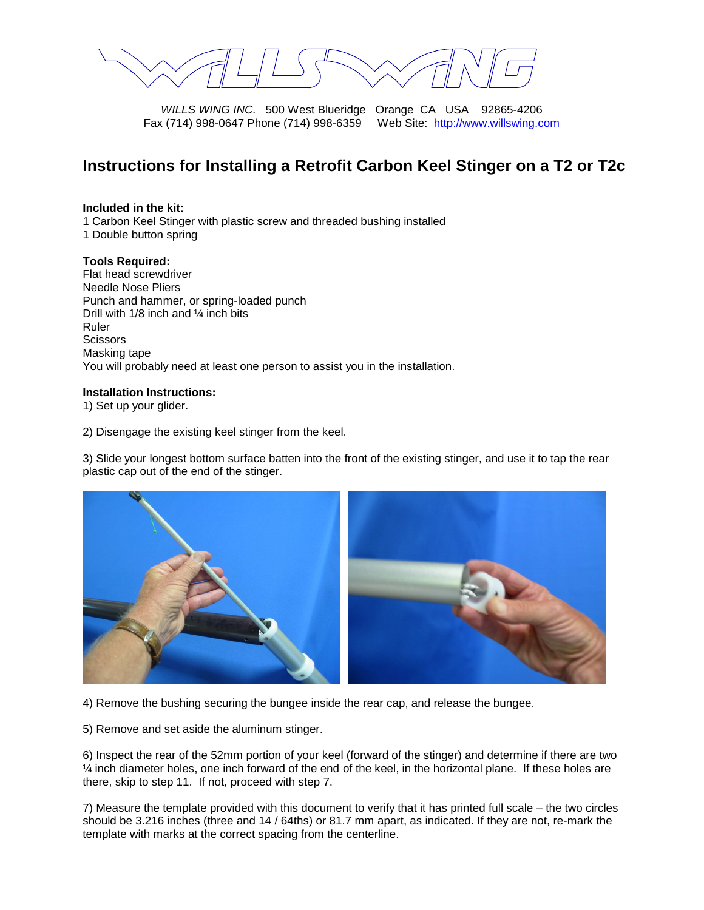WILLS WING INC. 500 West Blueridge Orange CA USA 92865-4206 Fax (714) 998-0647 Phone (714) 998-6359 Web Site: http://www.willswing.com

## **Instructions for Installing a Retrofit Carbon Keel Stinger on a T2 or T2c**

## **Included in the kit:**

1 Carbon Keel Stinger with plastic screw and threaded bushing installed

1 Double button spring

## **Tools Required:**

Flat head screwdriver Needle Nose Pliers Punch and hammer, or spring-loaded punch Drill with 1/8 inch and ¼ inch bits Ruler **Scissors** Masking tape You will probably need at least one person to assist you in the installation.

## **Installation Instructions:**

1) Set up your glider.

2) Disengage the existing keel stinger from the keel.

3) Slide your longest bottom surface batten into the front of the existing stinger, and use it to tap the rear plastic cap out of the end of the stinger.



4) Remove the bushing securing the bungee inside the rear cap, and release the bungee.

5) Remove and set aside the aluminum stinger.

6) Inspect the rear of the 52mm portion of your keel (forward of the stinger) and determine if there are two ¼ inch diameter holes, one inch forward of the end of the keel, in the horizontal plane. If these holes are there, skip to step 11. If not, proceed with step 7.

7) Measure the template provided with this document to verify that it has printed full scale – the two circles should be 3.216 inches (three and 14 / 64ths) or 81.7 mm apart, as indicated. If they are not, re-mark the template with marks at the correct spacing from the centerline.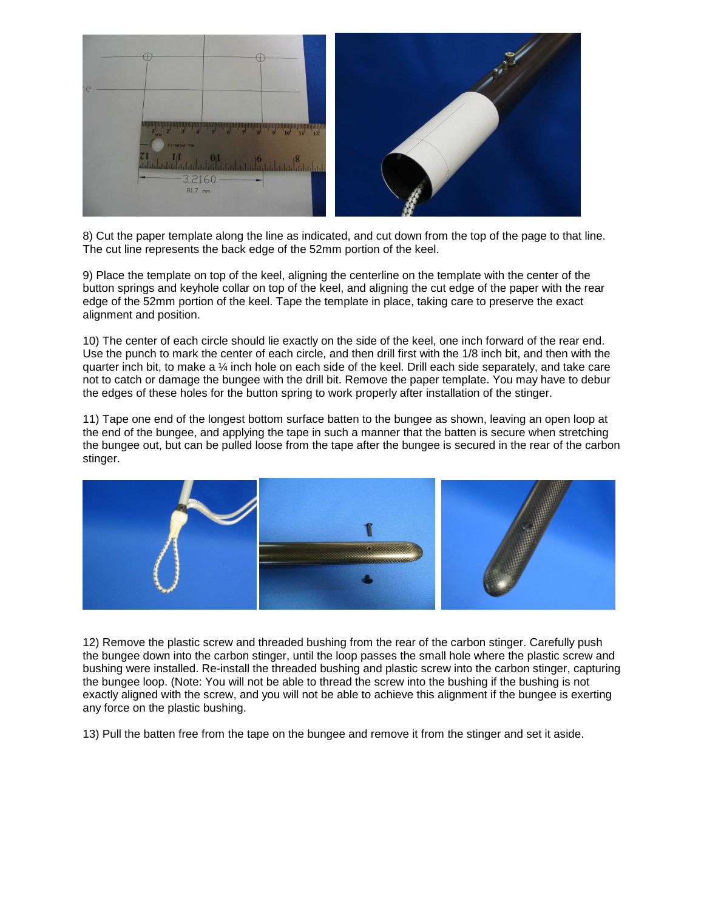

8) Cut the paper template along the line as indicated, and cut down from the top of the page to that line. The cut line represents the back edge of the 52mm portion of the keel.

9) Place the template on top of the keel, aligning the centerline on the template with the center of the button springs and keyhole collar on top of the keel, and aligning the cut edge of the paper with the rear edge of the 52mm portion of the keel. Tape the template in place, taking care to preserve the exact alignment and position.

10) The center of each circle should lie exactly on the side of the keel, one inch forward of the rear end. Use the punch to mark the center of each circle, and then drill first with the 1/8 inch bit, and then with the quarter inch bit, to make a  $\frac{1}{4}$  inch hole on each side of the keel. Drill each side separately, and take care not to catch or damage the bungee with the drill bit. Remove the paper template. You may have to debur the edges of these holes for the button spring to work properly after installation of the stinger.

11) Tape one end of the longest bottom surface batten to the bungee as shown, leaving an open loop at the end of the bungee, and applying the tape in such a manner that the batten is secure when stretching the bungee out, but can be pulled loose from the tape after the bungee is secured in the rear of the carbon stinger.



12) Remove the plastic screw and threaded bushing from the rear of the carbon stinger. Carefully push the bungee down into the carbon stinger, until the loop passes the small hole where the plastic screw and bushing were installed. Re-install the threaded bushing and plastic screw into the carbon stinger, capturing the bungee loop. (Note: You will not be able to thread the screw into the bushing if the bushing is not exactly aligned with the screw, and you will not be able to achieve this alignment if the bungee is exerting any force on the plastic bushing.

13) Pull the batten free from the tape on the bungee and remove it from the stinger and set it aside.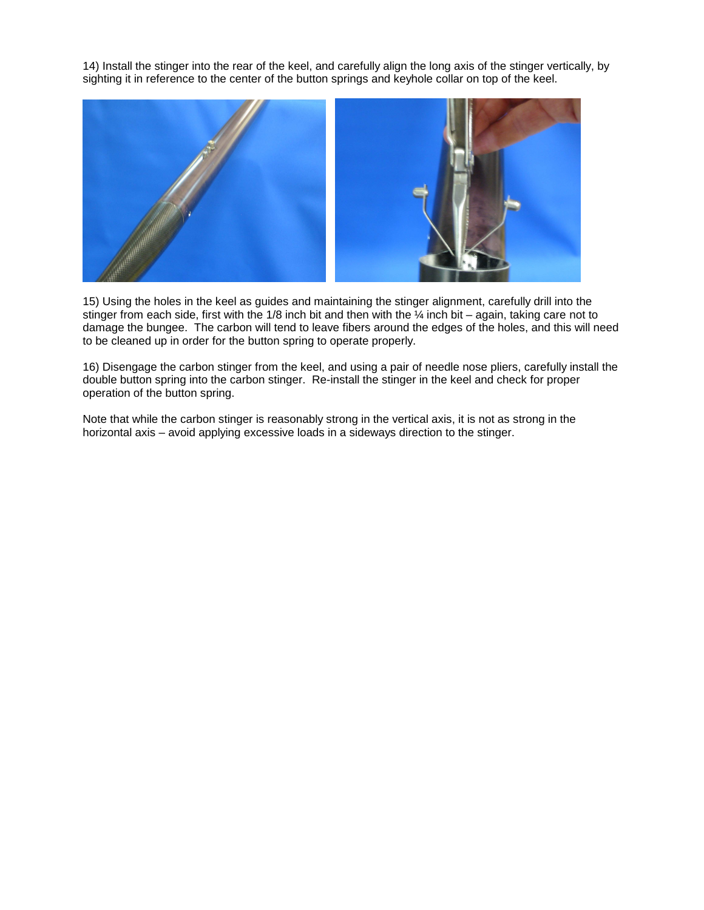14) Install the stinger into the rear of the keel, and carefully align the long axis of the stinger vertically, by sighting it in reference to the center of the button springs and keyhole collar on top of the keel.



15) Using the holes in the keel as guides and maintaining the stinger alignment, carefully drill into the stinger from each side, first with the 1/8 inch bit and then with the ¼ inch bit – again, taking care not to damage the bungee. The carbon will tend to leave fibers around the edges of the holes, and this will need to be cleaned up in order for the button spring to operate properly.

16) Disengage the carbon stinger from the keel, and using a pair of needle nose pliers, carefully install the double button spring into the carbon stinger. Re-install the stinger in the keel and check for proper operation of the button spring.

Note that while the carbon stinger is reasonably strong in the vertical axis, it is not as strong in the horizontal axis – avoid applying excessive loads in a sideways direction to the stinger.